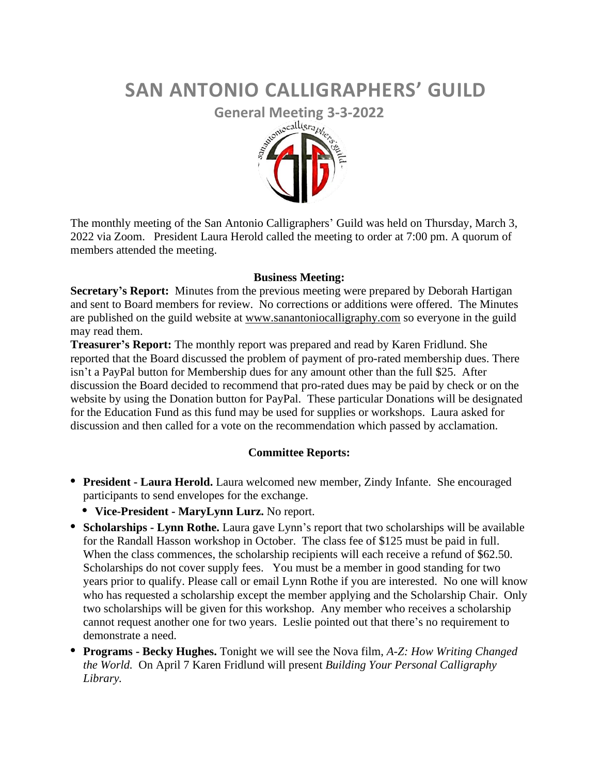# **SAN ANTONIO CALLIGRAPHERS' GUILD**



The monthly meeting of the San Antonio Calligraphers' Guild was held on Thursday, March 3, 2022 via Zoom. President Laura Herold called the meeting to order at 7:00 pm. A quorum of members attended the meeting.

# **Business Meeting:**

**Secretary's Report:** Minutes from the previous meeting were prepared by Deborah Hartigan and sent to Board members for review. No corrections or additions were offered. The Minutes are published on the guild website at [www.sanantoniocalligraphy.com](http://www.sanantoniocalligraphy.com/) so everyone in the guild may read them.

**Treasurer's Report:** The monthly report was prepared and read by Karen Fridlund. She reported that the Board discussed the problem of payment of pro-rated membership dues. There isn't a PayPal button for Membership dues for any amount other than the full \$25. After discussion the Board decided to recommend that pro-rated dues may be paid by check or on the website by using the Donation button for PayPal. These particular Donations will be designated for the Education Fund as this fund may be used for supplies or workshops. Laura asked for discussion and then called for a vote on the recommendation which passed by acclamation.

# **Committee Reports:**

- **• President - Laura Herold.** Laura welcomed new member, Zindy Infante. She encouraged participants to send envelopes for the exchange.
	- **• Vice-President - MaryLynn Lurz.** No report.
- **• Scholarships - Lynn Rothe.** Laura gave Lynn's report that two scholarships will be available for the Randall Hasson workshop in October. The class fee of \$125 must be paid in full. When the class commences, the scholarship recipients will each receive a refund of \$62.50. Scholarships do not cover supply fees. You must be a member in good standing for two years prior to qualify. Please call or email Lynn Rothe if you are interested. No one will know who has requested a scholarship except the member applying and the Scholarship Chair. Only two scholarships will be given for this workshop. Any member who receives a scholarship cannot request another one for two years. Leslie pointed out that there's no requirement to demonstrate a need.
- **• Programs - Becky Hughes.** Tonight we will see the Nova film, *A-Z: How Writing Changed the World.* On April 7 Karen Fridlund will present *Building Your Personal Calligraphy Library.*